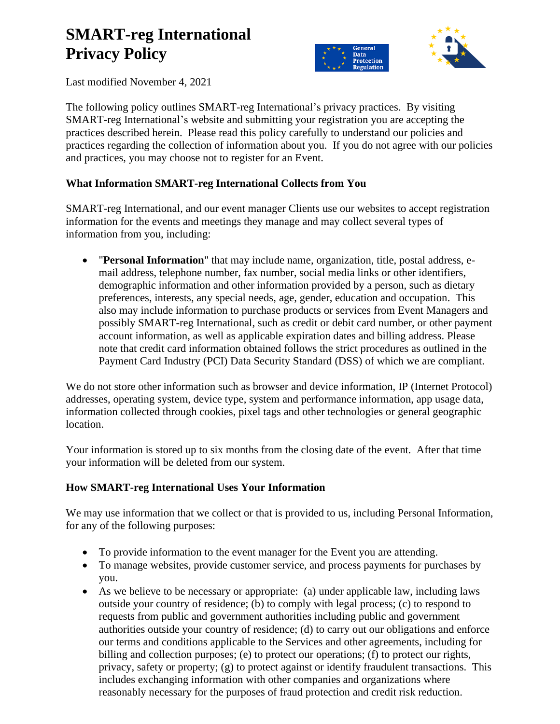# **SMART-reg International Privacy Policy**



Last modified November 4, 2021

The following policy outlines SMART-reg International's privacy practices. By visiting SMART-reg International's website and submitting your registration you are accepting the practices described herein. Please read this policy carefully to understand our policies and practices regarding the collection of information about you. If you do not agree with our policies and practices, you may choose not to register for an Event.

# **What Information SMART-reg International Collects from You**

SMART-reg International, and our event manager Clients use our websites to accept registration information for the events and meetings they manage and may collect several types of information from you, including:

• "**Personal Information**" that may include name, organization, title, postal address, email address, telephone number, fax number, social media links or other identifiers, demographic information and other information provided by a person, such as dietary preferences, interests, any special needs, age, gender, education and occupation. This also may include information to purchase products or services from Event Managers and possibly SMART-reg International, such as credit or debit card number, or other payment account information, as well as applicable expiration dates and billing address. Please note that credit card information obtained follows the strict procedures as outlined in the Payment Card Industry (PCI) Data Security Standard (DSS) of which we are compliant.

We do not store other information such as browser and device information, IP (Internet Protocol) addresses, operating system, device type, system and performance information, app usage data, information collected through cookies, pixel tags and other technologies or general geographic location.

Your information is stored up to six months from the closing date of the event. After that time your information will be deleted from our system.

# **How SMART-reg International Uses Your Information**

We may use information that we collect or that is provided to us, including Personal Information, for any of the following purposes:

- To provide information to the event manager for the Event you are attending.
- To manage websites, provide customer service, and process payments for purchases by you.
- As we believe to be necessary or appropriate: (a) under applicable law, including laws outside your country of residence; (b) to comply with legal process; (c) to respond to requests from public and government authorities including public and government authorities outside your country of residence; (d) to carry out our obligations and enforce our terms and conditions applicable to the Services and other agreements, including for billing and collection purposes; (e) to protect our operations; (f) to protect our rights, privacy, safety or property; (g) to protect against or identify fraudulent transactions. This includes exchanging information with other companies and organizations where reasonably necessary for the purposes of fraud protection and credit risk reduction.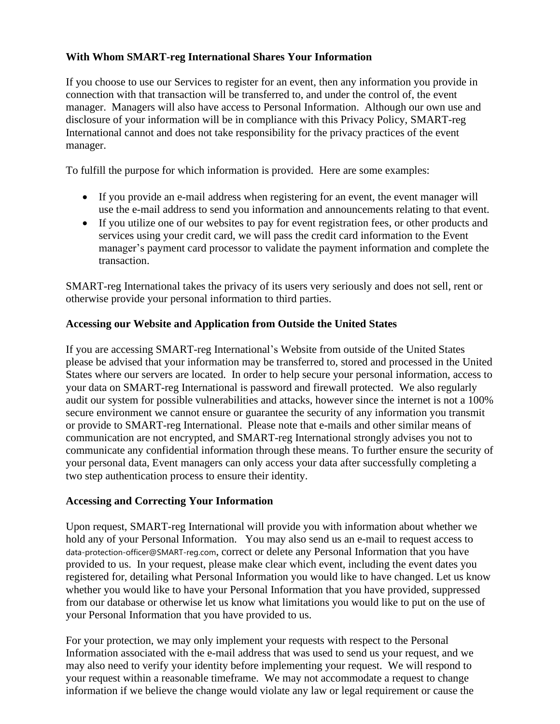## **With Whom SMART-reg International Shares Your Information**

If you choose to use our Services to register for an event, then any information you provide in connection with that transaction will be transferred to, and under the control of, the event manager. Managers will also have access to Personal Information. Although our own use and disclosure of your information will be in compliance with this Privacy Policy, SMART-reg International cannot and does not take responsibility for the privacy practices of the event manager.

To fulfill the purpose for which information is provided. Here are some examples:

- If you provide an e-mail address when registering for an event, the event manager will use the e-mail address to send you information and announcements relating to that event.
- If you utilize one of our websites to pay for event registration fees, or other products and services using your credit card, we will pass the credit card information to the Event manager's payment card processor to validate the payment information and complete the transaction.

SMART-reg International takes the privacy of its users very seriously and does not sell, rent or otherwise provide your personal information to third parties.

# **Accessing our Website and Application from Outside the United States**

If you are accessing SMART-reg International's Website from outside of the United States please be advised that your information may be transferred to, stored and processed in the United States where our servers are located. In order to help secure your personal information, access to your data on SMART-reg International is password and firewall protected. We also regularly audit our system for possible vulnerabilities and attacks, however since the internet is not a 100% secure environment we cannot ensure or guarantee the security of any information you transmit or provide to SMART-reg International. Please note that e-mails and other similar means of communication are not encrypted, and SMART-reg International strongly advises you not to communicate any confidential information through these means. To further ensure the security of your personal data, Event managers can only access your data after successfully completing a two step authentication process to ensure their identity.

#### **Accessing and Correcting Your Information**

Upon request, SMART-reg International will provide you with information about whether we hold any of your Personal Information. You may also send us an e-mail to request access to data-protection-officer@SMART-reg.com, correct or delete any Personal Information that you have provided to us. In your request, please make clear which event, including the event dates you registered for, detailing what Personal Information you would like to have changed. Let us know whether you would like to have your Personal Information that you have provided, suppressed from our database or otherwise let us know what limitations you would like to put on the use of your Personal Information that you have provided to us.

For your protection, we may only implement your requests with respect to the Personal Information associated with the e-mail address that was used to send us your request, and we may also need to verify your identity before implementing your request. We will respond to your request within a reasonable timeframe. We may not accommodate a request to change information if we believe the change would violate any law or legal requirement or cause the